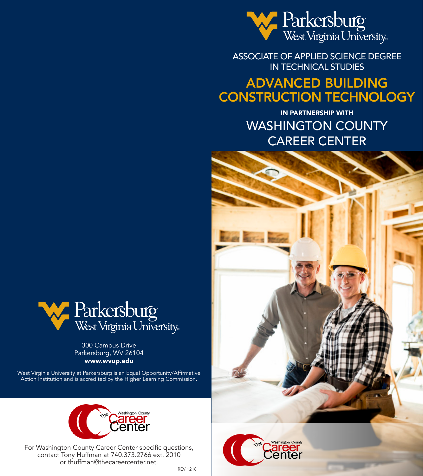

ASSOCIATE OF APPLIED SCIENCE DEGREE IN TECHNICAL STUDIES

# ADVANCED BUILDING CONSTRUCTION TECHNOLOGY

IN PARTNERSHIP WITH WASHINGTON COUNTY CAREER CENTER







300 Campus Drive Parkersburg, WV 26104 www.wvup.edu

West Virginia University at Parkersburg is an Equal Opportunity/Affirmative Action Institution and is accredited by the Higher Learning Commission.



For Washington County Career Center specific questions, contact Tony Huffman at 740.373.2766 ext. 2010 or thuffman@thecareercenter.net.

REV 1218